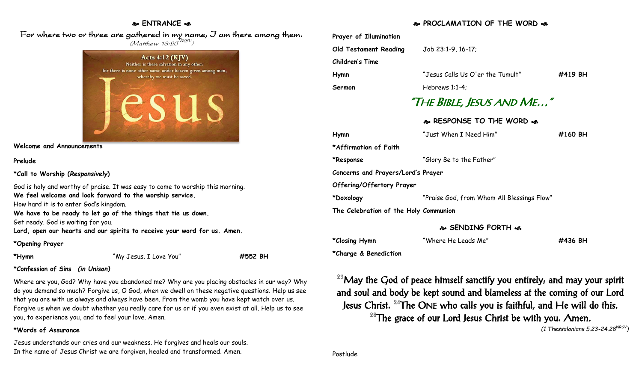## **ENTRANCE**

## For where two or three are gathered in my name, I am there among them.  $(M$ atthew 18:20 $^{NRSV})$



**Welcome and Announcements**

### **Prelude**

**\*Call to Worship (***Responsively***)** 

God is holy and worthy of praise. It was easy to come to worship this morning. **We feel welcome and look forward to the worship service.** How hard it is to enter God's kingdom.

**We have to be ready to let go of the things that tie us down.** Get ready. God is waiting for you.

**Lord, open our hearts and our spirits to receive your word for us. Amen.**

### **\*Opening Prayer**

**\*Hymn** "My Jesus. I Love You" **#552 BH**

## **\*Confession of Sins** *(in Unison)*

Where are you, God? Why have you abandoned me? Why are you placing obstacles in our way? Why do you demand so much? Forgive us, O God, when we dwell on these negative questions. Help us see that you are with us always and always have been. From the womb you have kept watch over us. Forgive us when we doubt whether you really care for us or if you even exist at all. Help us to see you, to experience you, and to feel your love. Amen.

## **\*Words of Assurance**

Jesus understands our cries and our weakness. He forgives and heals our souls. In the name of Jesus Christ we are forgiven, healed and transformed. Amen.

## **PROCLAMATION OF THE WORD**

| Prayer of Illumination<br>Old Testament Reading Job 23:1-9, 16-17;<br><b>Children's Time</b> |                                            |         |  |
|----------------------------------------------------------------------------------------------|--------------------------------------------|---------|--|
| Hymn                                                                                         | "Jesus Calls Us O'er the Tumult"           | #419 BH |  |
| Sermon                                                                                       | Hebrews $1:1-4$ ;                          |         |  |
| "The Bible, Jesus and Me"                                                                    |                                            |         |  |
|                                                                                              | & RESPONSE TO THE WORD &                   |         |  |
| Hymn                                                                                         | "Just When I Need Him"                     | #160 BH |  |
| *Affirmation of Faith                                                                        |                                            |         |  |
| *Response                                                                                    | "Glory Be to the Father"                   |         |  |
| Concerns and Prayers/Lord's Prayer                                                           |                                            |         |  |
| Offering/Offertory Prayer                                                                    |                                            |         |  |
| *Doxology                                                                                    | "Praise God, from Whom All Blessings Flow" |         |  |
| The Celebration of the Holy Communion                                                        |                                            |         |  |

#### **SENDING FORTH**

| *Closing Hymn         | "Where He Leads Me" | #436 BH |
|-----------------------|---------------------|---------|
| *Charge & Benediction |                     |         |

<sup>23</sup>May the God of peace himself sanctify you entirely, and may your spirit and soul and body be kept sound and blameless at the coming of our Lord Jesus Christ.  $24$ The ONE who calls you is faithful, and He will do this.  $28$ The grace of our Lord Jesus Christ be with you. Amen. *(1 Thessalonians 5.23-24.28NRSV)*

Postlude